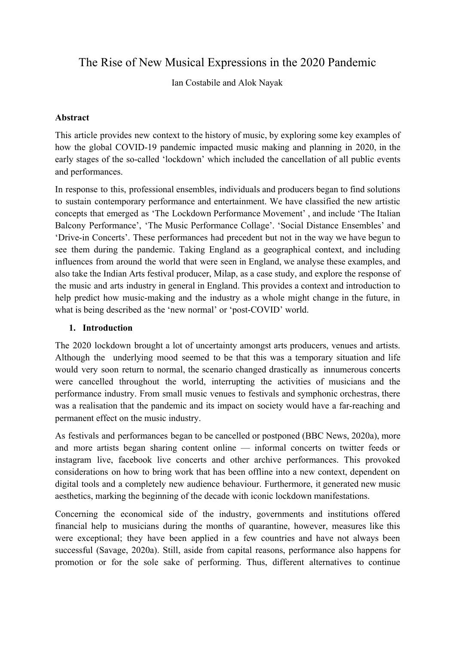# The Rise of New Musical Expressions in the 2020 Pandemic

Ian Costabile and Alok Nayak

#### **Abstract**

This article provides new context to the history of music, by exploring some key examples of how the global COVID-19 pandemic impacted music making and planning in 2020, in the early stages of the so-called 'lockdown' which included the cancellation of all public events and performances.

In response to this, professional ensembles, individuals and producers began to find solutions to sustain contemporary performance and entertainment. We have classified the new artistic concepts that emerged as 'The Lockdown Performance Movement' , and include 'The Italian Balcony Performance', 'The Music Performance Collage'. 'Social Distance Ensembles' and 'Drive-in Concerts'. These performances had precedent but not in the way we have begun to see them during the pandemic. Taking England as a geographical context, and including influences from around the world that were seen in England, we analyse these examples, and also take the Indian Arts festival producer, Milap, as a case study, and explore the response of the music and arts industry in general in England. This provides a context and introduction to help predict how music-making and the industry as a whole might change in the future, in what is being described as the 'new normal' or 'post-COVID' world.

#### **1. Introduction**

The 2020 lockdown brought a lot of uncertainty amongst arts producers, venues and artists. Although the underlying mood seemed to be that this was a temporary situation and life would very soon return to normal, the scenario changed drastically as innumerous concerts were cancelled throughout the world, interrupting the activities of musicians and the performance industry. From small music venues to festivals and symphonic orchestras, there was a realisation that the pandemic and its impact on society would have a far-reaching and permanent effect on the music industry.

As festivals and performances began to be cancelled or postponed (BBC News, 2020a), more and more artists began sharing content online — informal concerts on twitter feeds or instagram live, facebook live concerts and other archive performances. This provoked considerations on how to bring work that has been offline into a new context, dependent on digital tools and a completely new audience behaviour. Furthermore, it generated new music aesthetics, marking the beginning of the decade with iconic lockdown manifestations.

Concerning the economical side of the industry, governments and institutions offered financial help to musicians during the months of quarantine, however, measures like this were exceptional; they have been applied in a few countries and have not always been successful (Savage, 2020a). Still, aside from capital reasons, performance also happens for promotion or for the sole sake of performing. Thus, different alternatives to continue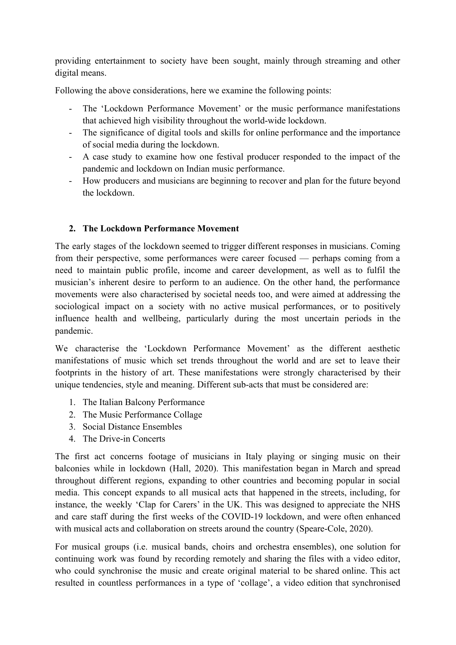providing entertainment to society have been sought, mainly through streaming and other digital means.

Following the above considerations, here we examine the following points:

- The 'Lockdown Performance Movement' or the music performance manifestations that achieved high visibility throughout the world-wide lockdown.
- The significance of digital tools and skills for online performance and the importance of social media during the lockdown.
- A case study to examine how one festival producer responded to the impact of the pandemic and lockdown on Indian music performance.
- How producers and musicians are beginning to recover and plan for the future beyond the lockdown.

### **2. The Lockdown Performance Movement**

The early stages of the lockdown seemed to trigger different responses in musicians. Coming from their perspective, some performances were career focused — perhaps coming from a need to maintain public profile, income and career development, as well as to fulfil the musician's inherent desire to perform to an audience. On the other hand, the performance movements were also characterised by societal needs too, and were aimed at addressing the sociological impact on a society with no active musical performances, or to positively influence health and wellbeing, particularly during the most uncertain periods in the pandemic.

We characterise the 'Lockdown Performance Movement' as the different aesthetic manifestations of music which set trends throughout the world and are set to leave their footprints in the history of art. These manifestations were strongly characterised by their unique tendencies, style and meaning. Different sub-acts that must be considered are:

- 1. The Italian Balcony Performance
- 2. The Music Performance Collage
- 3. Social Distance Ensembles
- 4. The Drive-in Concerts

The first act concerns footage of musicians in Italy playing or singing music on their balconies while in lockdown (Hall, 2020). This manifestation began in March and spread throughout different regions, expanding to other countries and becoming popular in social media. This concept expands to all musical acts that happened in the streets, including, for instance, the weekly 'Clap for Carers' in the UK. This was designed to appreciate the NHS and care staff during the first weeks of the COVID-19 lockdown, and were often enhanced with musical acts and collaboration on streets around the country (Speare-Cole, 2020).

For musical groups (i.e. musical bands, choirs and orchestra ensembles), one solution for continuing work was found by recording remotely and sharing the files with a video editor, who could synchronise the music and create original material to be shared online. This act resulted in countless performances in a type of 'collage', a video edition that synchronised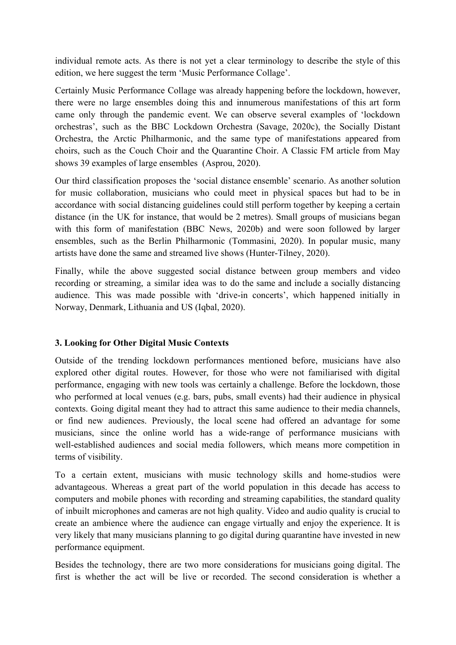individual remote acts. As there is not yet a clear terminology to describe the style of this edition, we here suggest the term 'Music Performance Collage'.

Certainly Music Performance Collage was already happening before the lockdown, however, there were no large ensembles doing this and innumerous manifestations of this art form came only through the pandemic event. We can observe several examples of 'lockdown orchestras', such as the BBC Lockdown Orchestra (Savage, 2020c), the Socially Distant Orchestra, the Arctic Philharmonic, and the same type of manifestations appeared from choirs, such as the Couch Choir and the Quarantine Choir. A Classic FM article from May shows 39 examples of large ensembles (Asprou, 2020).

Our third classification proposes the 'social distance ensemble' scenario. As another solution for music collaboration, musicians who could meet in physical spaces but had to be in accordance with social distancing guidelines could still perform together by keeping a certain distance (in the UK for instance, that would be 2 metres). Small groups of musicians began with this form of manifestation (BBC News, 2020b) and were soon followed by larger ensembles, such as the Berlin Philharmonic (Tommasini, 2020). In popular music, many artists have done the same and streamed live shows (Hunter-Tilney, 2020).

Finally, while the above suggested social distance between group members and video recording or streaming, a similar idea was to do the same and include a socially distancing audience. This was made possible with 'drive-in concerts', which happened initially in Norway, Denmark, Lithuania and US (Iqbal, 2020).

#### **3. Looking for Other Digital Music Contexts**

Outside of the trending lockdown performances mentioned before, musicians have also explored other digital routes. However, for those who were not familiarised with digital performance, engaging with new tools was certainly a challenge. Before the lockdown, those who performed at local venues (e.g. bars, pubs, small events) had their audience in physical contexts. Going digital meant they had to attract this same audience to their media channels, or find new audiences. Previously, the local scene had offered an advantage for some musicians, since the online world has a wide-range of performance musicians with well-established audiences and social media followers, which means more competition in terms of visibility.

To a certain extent, musicians with music technology skills and home-studios were advantageous. Whereas a great part of the world population in this decade has access to computers and mobile phones with recording and streaming capabilities, the standard quality of inbuilt microphones and cameras are not high quality. Video and audio quality is crucial to create an ambience where the audience can engage virtually and enjoy the experience. It is very likely that many musicians planning to go digital during quarantine have invested in new performance equipment.

Besides the technology, there are two more considerations for musicians going digital. The first is whether the act will be live or recorded. The second consideration is whether a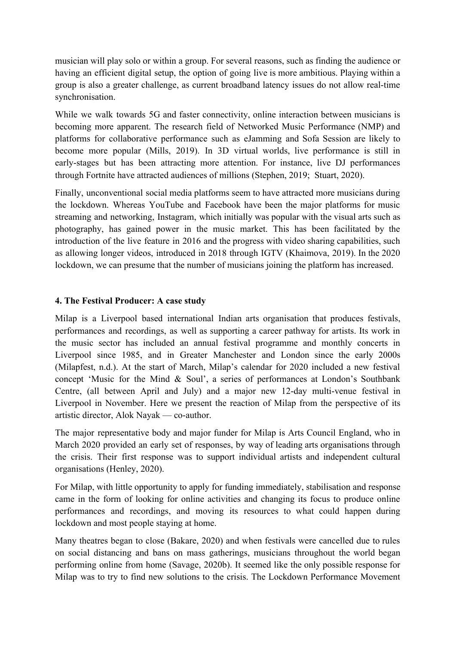musician will play solo or within a group. For several reasons, such as finding the audience or having an efficient digital setup, the option of going live is more ambitious. Playing within a group is also a greater challenge, as current broadband latency issues do not allow real-time synchronisation.

While we walk towards 5G and faster connectivity, online interaction between musicians is becoming more apparent. The research field of Networked Music Performance (NMP) and platforms for collaborative performance such as eJamming and Sofa Session are likely to become more popular (Mills, 2019). In 3D virtual worlds, live performance is still in early-stages but has been attracting more attention. For instance, live DJ performances through Fortnite have attracted audiences of millions (Stephen, 2019; Stuart, 2020).

Finally, unconventional social media platforms seem to have attracted more musicians during the lockdown. Whereas YouTube and Facebook have been the major platforms for music streaming and networking, Instagram, which initially was popular with the visual arts such as photography, has gained power in the music market. This has been facilitated by the introduction of the live feature in 2016 and the progress with video sharing capabilities, such as allowing longer videos, introduced in 2018 through IGTV (Khaimova, 2019). In the 2020 lockdown, we can presume that the number of musicians joining the platform has increased.

#### **4. The Festival Producer: A case study**

Milap is a Liverpool based international Indian arts organisation that produces festivals, performances and recordings, as well as supporting a career pathway for artists. Its work in the music sector has included an annual festival programme and monthly concerts in Liverpool since 1985, and in Greater Manchester and London since the early 2000s (Milapfest, n.d.). At the start of March, Milap's calendar for 2020 included a new festival concept 'Music for the Mind & Soul', a series of performances at London's Southbank Centre, (all between April and July) and a major new 12-day multi-venue festival in Liverpool in November. Here we present the reaction of Milap from the perspective of its artistic director, Alok Nayak — co-author.

The major representative body and major funder for Milap is Arts Council England, who in March 2020 provided an early set of responses, by way of leading arts organisations through the crisis. Their first response was to support individual artists and independent cultural organisations (Henley, 2020).

For Milap, with little opportunity to apply for funding immediately, stabilisation and response came in the form of looking for online activities and changing its focus to produce online performances and recordings, and moving its resources to what could happen during lockdown and most people staying at home.

Many theatres began to close (Bakare, 2020) and when festivals were cancelled due to rules on social distancing and bans on mass gatherings, musicians throughout the world began performing online from home (Savage, 2020b). It seemed like the only possible response for Milap was to try to find new solutions to the crisis. The Lockdown Performance Movement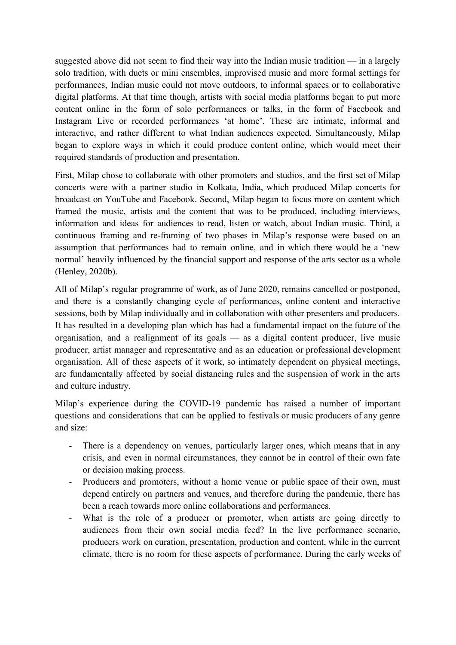suggested above did not seem to find their way into the Indian music tradition — in a largely solo tradition, with duets or mini ensembles, improvised music and more formal settings for performances, Indian music could not move outdoors, to informal spaces or to collaborative digital platforms. At that time though, artists with social media platforms began to put more content online in the form of solo performances or talks, in the form of Facebook and Instagram Live or recorded performances 'at home'. These are intimate, informal and interactive, and rather different to what Indian audiences expected. Simultaneously, Milap began to explore ways in which it could produce content online, which would meet their required standards of production and presentation.

First, Milap chose to collaborate with other promoters and studios, and the first set of Milap concerts were with a partner studio in Kolkata, India, which produced Milap concerts for broadcast on YouTube and Facebook. Second, Milap began to focus more on content which framed the music, artists and the content that was to be produced, including interviews, information and ideas for audiences to read, listen or watch, about Indian music. Third, a continuous framing and re-framing of two phases in Milap's response were based on an assumption that performances had to remain online, and in which there would be a 'new normal' heavily influenced by the financial support and response of the arts sector as a whole (Henley, 2020b).

All of Milap's regular programme of work, as of June 2020, remains cancelled or postponed, and there is a constantly changing cycle of performances, online content and interactive sessions, both by Milap individually and in collaboration with other presenters and producers. It has resulted in a developing plan which has had a fundamental impact on the future of the organisation, and a realignment of its goals — as a digital content producer, live music producer, artist manager and representative and as an education or professional development organisation. All of these aspects of it work, so intimately dependent on physical meetings, are fundamentally affected by social distancing rules and the suspension of work in the arts and culture industry.

Milap's experience during the COVID-19 pandemic has raised a number of important questions and considerations that can be applied to festivals or music producers of any genre and size:

- There is a dependency on venues, particularly larger ones, which means that in any crisis, and even in normal circumstances, they cannot be in control of their own fate or decision making process.
- Producers and promoters, without a home venue or public space of their own, must depend entirely on partners and venues, and therefore during the pandemic, there has been a reach towards more online collaborations and performances.
- What is the role of a producer or promoter, when artists are going directly to audiences from their own social media feed? In the live performance scenario, producers work on curation, presentation, production and content, while in the current climate, there is no room for these aspects of performance. During the early weeks of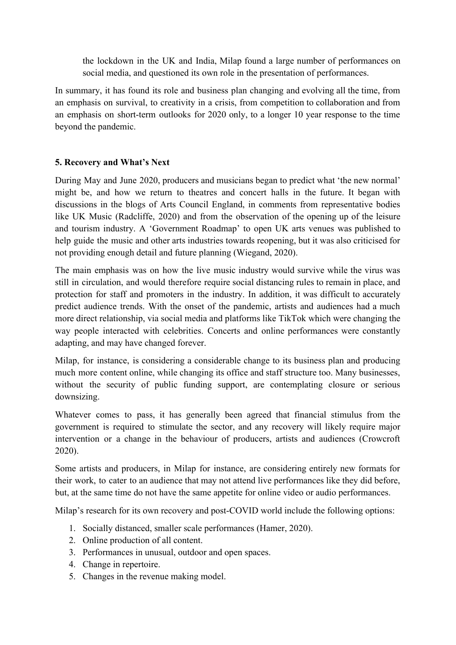the lockdown in the UK and India, Milap found a large number of performances on social media, and questioned its own role in the presentation of performances.

In summary, it has found its role and business plan changing and evolving all the time, from an emphasis on survival, to creativity in a crisis, from competition to collaboration and from an emphasis on short-term outlooks for 2020 only, to a longer 10 year response to the time beyond the pandemic.

## **5. Recovery and What's Next**

During May and June 2020, producers and musicians began to predict what 'the new normal' might be, and how we return to theatres and concert halls in the future. It began with discussions in the blogs of Arts Council England, in comments from representative bodies like UK Music (Radcliffe, 2020) and from the observation of the opening up of the leisure and tourism industry. A 'Government Roadmap' to open UK arts venues was published to help guide the music and other arts industries towards reopening, but it was also criticised for not providing enough detail and future planning (Wiegand, 2020).

The main emphasis was on how the live music industry would survive while the virus was still in circulation, and would therefore require social distancing rules to remain in place, and protection for staff and promoters in the industry. In addition, it was difficult to accurately predict audience trends. With the onset of the pandemic, artists and audiences had a much more direct relationship, via social media and platforms like TikTok which were changing the way people interacted with celebrities. Concerts and online performances were constantly adapting, and may have changed forever.

Milap, for instance, is considering a considerable change to its business plan and producing much more content online, while changing its office and staff structure too. Many businesses, without the security of public funding support, are contemplating closure or serious downsizing.

Whatever comes to pass, it has generally been agreed that financial stimulus from the government is required to stimulate the sector, and any recovery will likely require major intervention or a change in the behaviour of producers, artists and audiences (Crowcroft 2020).

Some artists and producers, in Milap for instance, are considering entirely new formats for their work, to cater to an audience that may not attend live performances like they did before, but, at the same time do not have the same appetite for online video or audio performances.

Milap's research for its own recovery and post-COVID world include the following options:

- 1. Socially distanced, smaller scale performances (Hamer, 2020).
- 2. Online production of all content.
- 3. Performances in unusual, outdoor and open spaces.
- 4. Change in repertoire.
- 5. Changes in the revenue making model.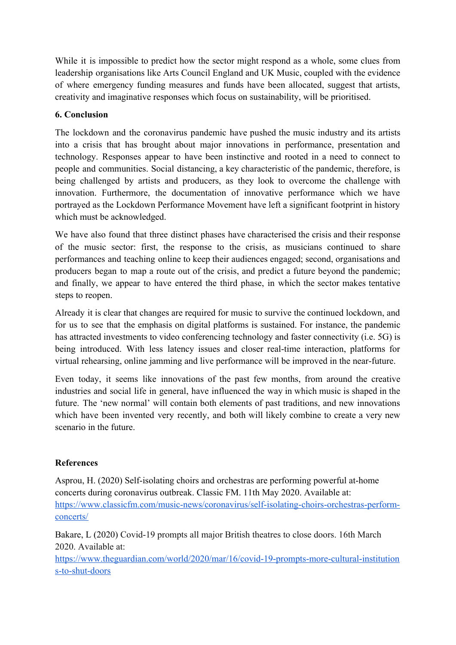While it is impossible to predict how the sector might respond as a whole, some clues from leadership organisations like Arts Council England and UK Music, coupled with the evidence of where emergency funding measures and funds have been allocated, suggest that artists, creativity and imaginative responses which focus on sustainability, will be prioritised.

## **6. Conclusion**

The lockdown and the coronavirus pandemic have pushed the music industry and its artists into a crisis that has brought about major innovations in performance, presentation and technology. Responses appear to have been instinctive and rooted in a need to connect to people and communities. Social distancing, a key characteristic of the pandemic, therefore, is being challenged by artists and producers, as they look to overcome the challenge with innovation. Furthermore, the documentation of innovative performance which we have portrayed as the Lockdown Performance Movement have left a significant footprint in history which must be acknowledged.

We have also found that three distinct phases have characterised the crisis and their response of the music sector: first, the response to the crisis, as musicians continued to share performances and teaching online to keep their audiences engaged; second, organisations and producers began to map a route out of the crisis, and predict a future beyond the pandemic; and finally, we appear to have entered the third phase, in which the sector makes tentative steps to reopen.

Already it is clear that changes are required for music to survive the continued lockdown, and for us to see that the emphasis on digital platforms is sustained. For instance, the pandemic has attracted investments to video conferencing technology and faster connectivity (i.e. 5G) is being introduced. With less latency issues and closer real-time interaction, platforms for virtual rehearsing, online jamming and live performance will be improved in the near-future.

Even today, it seems like innovations of the past few months, from around the creative industries and social life in general, have influenced the way in which music is shaped in the future. The 'new normal' will contain both elements of past traditions, and new innovations which have been invented very recently, and both will likely combine to create a very new scenario in the future.

## **References**

Asprou, H. (2020) Self-isolating choirs and orchestras are performing powerful at-home concerts during coronavirus outbreak. Classic FM. 11th May 2020. Available at: [https://www.classicfm.com/music-news/coronavirus/self-isolating-choirs-orchestras-perform](https://www.classicfm.com/music-news/coronavirus/self-isolating-choirs-orchestras-perform-concerts/)[concerts/](https://www.classicfm.com/music-news/coronavirus/self-isolating-choirs-orchestras-perform-concerts/)

Bakare, L (2020) Covid-19 prompts all major British theatres to close doors. 16th March 2020. Available at:

[https://www.theguardian.com/world/2020/mar/16/covid-19-prompts-more-cultural-institution](https://www.theguardian.com/world/2020/mar/16/covid-19-prompts-more-cultural-institutions-to-shut-doors) [s-to-shut-doors](https://www.theguardian.com/world/2020/mar/16/covid-19-prompts-more-cultural-institutions-to-shut-doors)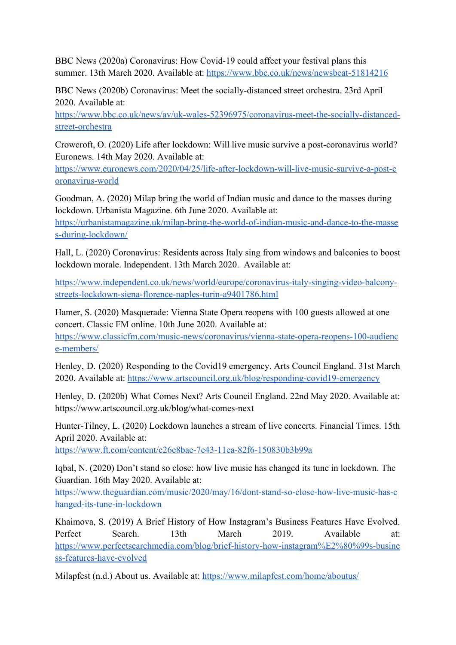BBC News (2020a) Coronavirus: How Covid-19 could affect your festival plans this summer. 13th March 2020. Available at:<https://www.bbc.co.uk/news/newsbeat-51814216>

BBC News (2020b) Coronavirus: Meet the socially-distanced street orchestra. 23rd April 2020. Available at:

[https://www.bbc.co.uk/news/av/uk-wales-52396975/coronavirus-meet-the-socially-distanced](https://www.bbc.co.uk/news/av/uk-wales-52396975/coronavirus-meet-the-socially-distanced-street-orchestra)[street-orchestra](https://www.bbc.co.uk/news/av/uk-wales-52396975/coronavirus-meet-the-socially-distanced-street-orchestra)

Crowcroft, O. (2020) Life after lockdown: Will live music survive a post-coronavirus world? Euronews. 14th May 2020. Available at:

[https://www.euronews.com/2020/04/25/life-after-lockdown-will-live-music-survive-a-post-c](https://www.euronews.com/2020/04/25/life-after-lockdown-will-live-music-survive-a-post-coronavirus-world) [oronavirus-world](https://www.euronews.com/2020/04/25/life-after-lockdown-will-live-music-survive-a-post-coronavirus-world)

Goodman, A. (2020) Milap bring the world of Indian music and dance to the masses during lockdown. Urbanista Magazine. 6th June 2020. Available at:

[https://urbanistamagazine.uk/milap-bring-the-world-of-indian-music-and-dance-to-the-masse](https://urbanistamagazine.uk/milap-bring-the-world-of-indian-music-and-dance-to-the-masses-during-lockdown/) [s-during-lockdown/](https://urbanistamagazine.uk/milap-bring-the-world-of-indian-music-and-dance-to-the-masses-during-lockdown/)

Hall, L. (2020) Coronavirus: Residents across Italy sing from windows and balconies to boost lockdown morale. Independent. 13th March 2020. Available at:

[https://www.independent.co.uk/news/world/europe/coronavirus-italy-singing-video-balcony](https://www.independent.co.uk/news/world/europe/coronavirus-italy-singing-video-balcony-streets-lockdown-siena-florence-naples-turin-a9401786.html)[streets-lockdown-siena-florence-naples-turin-a9401786.html](https://www.independent.co.uk/news/world/europe/coronavirus-italy-singing-video-balcony-streets-lockdown-siena-florence-naples-turin-a9401786.html)

Hamer, S. (2020) Masquerade: Vienna State Opera reopens with 100 guests allowed at one concert. Classic FM online. 10th June 2020. Available at:

[https://www.classicfm.com/music-news/coronavirus/vienna-state-opera-reopens-100-audienc](https://www.classicfm.com/music-news/coronavirus/vienna-state-opera-reopens-100-audience-members/) [e-members/](https://www.classicfm.com/music-news/coronavirus/vienna-state-opera-reopens-100-audience-members/)

Henley, D. (2020) Responding to the Covid19 emergency. Arts Council England. 31st March 2020. Available at: <https://www.artscouncil.org.uk/blog/responding-covid19-emergency>

Henley, D. (2020b) What Comes Next? Arts Council England. 22nd May 2020. Available at: https://www.artscouncil.org.uk/blog/what-comes-next

Hunter-Tilney, L. (2020) Lockdown launches a stream of live concerts. Financial Times. 15th April 2020. Available at:

<https://www.ft.com/content/c26e8bae-7e43-11ea-82f6-150830b3b99a>

Iqbal, N. (2020) Don't stand so close: how live music has changed its tune in lockdown. The Guardian. 16th May 2020. Available at:

[https://www.theguardian.com/music/2020/may/16/dont-stand-so-close-how-live-music-has-c](https://www.theguardian.com/music/2020/may/16/dont-stand-so-close-how-live-music-has-changed-its-tune-in-lockdown) [hanged-its-tune-in-lockdown](https://www.theguardian.com/music/2020/may/16/dont-stand-so-close-how-live-music-has-changed-its-tune-in-lockdown)

Khaimova, S. (2019) A Brief History of How Instagram's Business Features Have Evolved. Perfect Search. 13th March 2019. Available at: [https://www.perfectsearchmedia.com/blog/brief-history-how-instagram%E2%80%99s-busine](https://www.perfectsearchmedia.com/blog/brief-history-how-instagram%E2%80%99s-business-features-have-evolved) [ss-features-have-evolved](https://www.perfectsearchmedia.com/blog/brief-history-how-instagram%E2%80%99s-business-features-have-evolved)

Milapfest (n.d.) About us. Available at:<https://www.milapfest.com/home/aboutus/>